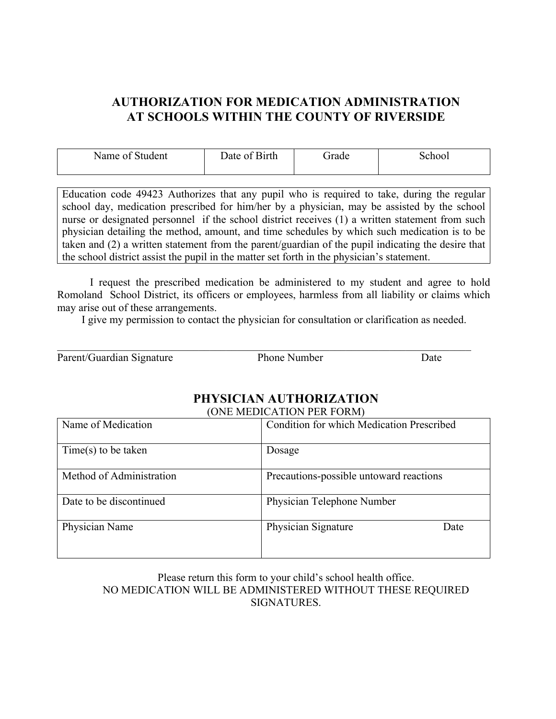# **AUTHORIZATION FOR MEDICATION ADMINISTRATION AT SCHOOLS WITHIN THE COUNTY OF RIVERSIDE**

| Name of<br>Student | Date of Birth | irade | ChOO <sub>1</sub> |
|--------------------|---------------|-------|-------------------|
|--------------------|---------------|-------|-------------------|

Education code 49423 Authorizes that any pupil who is required to take, during the regular school day, medication prescribed for him/her by a physician, may be assisted by the school nurse or designated personnel if the school district receives (1) a written statement from such physician detailing the method, amount, and time schedules by which such medication is to be taken and (2) a written statement from the parent/guardian of the pupil indicating the desire that the school district assist the pupil in the matter set forth in the physician's statement.

I request the prescribed medication be administered to my student and agree to hold Romoland School District, its officers or employees, harmless from all liability or claims which may arise out of these arrangements.

I give my permission to contact the physician for consultation or clarification as needed.

| Parent/Guardian Signature | Phone Number | Date |
|---------------------------|--------------|------|

#### **PHYSICIAN AUTHORIZATION** (ONE MEDICATION PER FORM)

| <b>UNE MEDICATION LER FORMI</b> |                                                  |  |
|---------------------------------|--------------------------------------------------|--|
| Name of Medication              | <b>Condition for which Medication Prescribed</b> |  |
| $Time(s)$ to be taken           | Dosage                                           |  |
| Method of Administration        | Precautions-possible untoward reactions          |  |
| Date to be discontinued         | Physician Telephone Number                       |  |
| Physician Name                  | Physician Signature<br>Date                      |  |

#### Please return this form to your child's school health office. NO MEDICATION WILL BE ADMINISTERED WITHOUT THESE REQUIRED **SIGNATURES**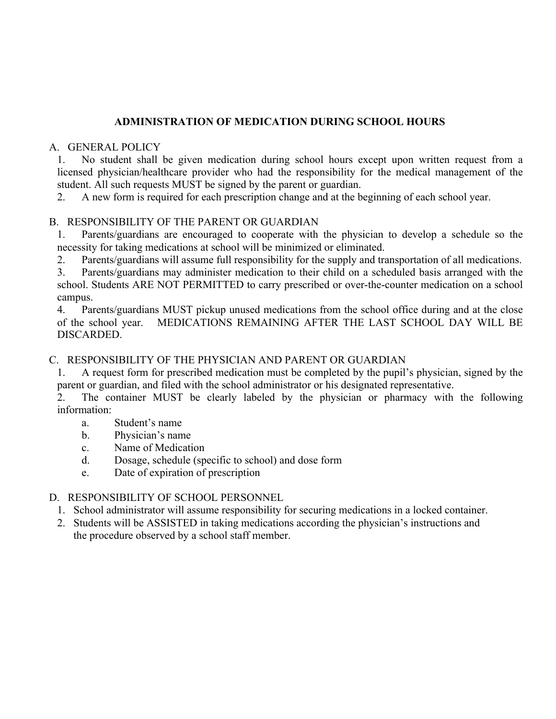# **ADMINISTRATION OF MEDICATION DURING SCHOOL HOURS**

#### A. GENERAL POLICY

1. No student shall be given medication during school hours except upon written request from a licensed physician/healthcare provider who had the responsibility for the medical management of the student. All such requests MUST be signed by the parent or guardian.

2. A new form is required for each prescription change and at the beginning of each school year.

#### B. RESPONSIBILITY OF THE PARENT OR GUARDIAN

1. Parents/guardians are encouraged to cooperate with the physician to develop a schedule so the necessity for taking medications at school will be minimized or eliminated.

2. Parents/guardians will assume full responsibility for the supply and transportation of all medications.

3. Parents/guardians may administer medication to their child on a scheduled basis arranged with the school. Students ARE NOT PERMITTED to carry prescribed or over-the-counter medication on a school campus.

4. Parents/guardians MUST pickup unused medications from the school office during and at the close of the school year. MEDICATIONS REMAINING AFTER THE LAST SCHOOL DAY WILL BE DISCARDED.

#### C. RESPONSIBILITY OF THE PHYSICIAN AND PARENT OR GUARDIAN

1. A request form for prescribed medication must be completed by the pupil's physician, signed by the parent or guardian, and filed with the school administrator or his designated representative.

2. The container MUST be clearly labeled by the physician or pharmacy with the following information:

- a. Student's name
- b. Physician's name
- c. Name of Medication
- d. Dosage, schedule (specific to school) and dose form
- e. Date of expiration of prescription

#### D. RESPONSIBILITY OF SCHOOL PERSONNEL

- 1. School administrator will assume responsibility for securing medications in a locked container.
- 2. Students will be ASSISTED in taking medications according the physician's instructions and the procedure observed by a school staff member.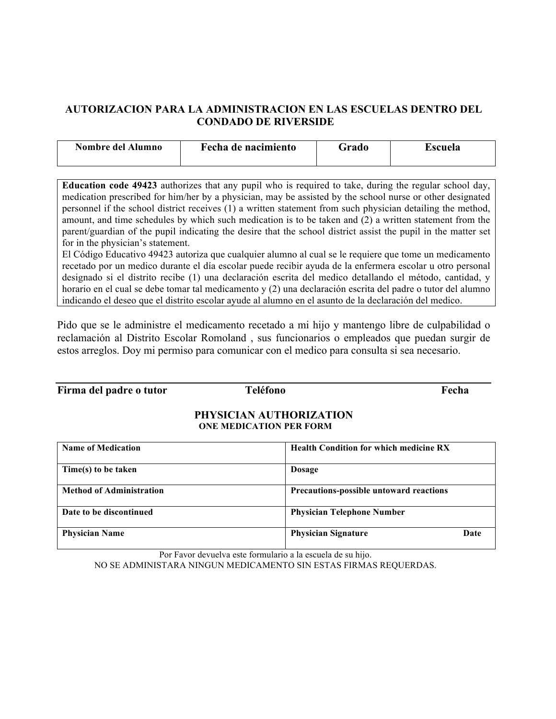# **AUTORIZACION PARA LA ADMINISTRACION EN LAS ESCUELAS DENTRO DEL CONDADO DE RIVERSIDE**

| Nombre del Alumno | Fecha de nacimiento | Grado | Escuela |
|-------------------|---------------------|-------|---------|
|                   |                     |       |         |

**Education code 49423** authorizes that any pupil who is required to take, during the regular school day, medication prescribed for him/her by a physician, may be assisted by the school nurse or other designated personnel if the school district receives (1) a written statement from such physician detailing the method, amount, and time schedules by which such medication is to be taken and (2) a written statement from the parent/guardian of the pupil indicating the desire that the school district assist the pupil in the matter set for in the physician's statement.

El Código Educativo 49423 autoriza que cualquier alumno al cual se le requiere que tome un medicamento recetado por un medico durante el día escolar puede recibir ayuda de la enfermera escolar u otro personal designado si el distrito recibe (1) una declaración escrita del medico detallando el método, cantidad, y horario en el cual se debe tomar tal medicamento y (2) una declaración escrita del padre o tutor del alumno indicando el deseo que el distrito escolar ayude al alumno en el asunto de la declaración del medico.

Pido que se le administre el medicamento recetado a mi hijo y mantengo libre de culpabilidad o reclamación al Distrito Escolar Romoland , sus funcionarios o empleados que puedan surgir de estos arreglos. Doy mi permiso para comunicar con el medico para consulta si sea necesario.

**Firma del padre o tutor Teléfono Fecha**

#### **PHYSICIAN AUTHORIZATION ONE MEDICATION PER FORM**

| <b>Name of Medication</b>       | <b>Health Condition for which medicine RX</b>  |  |
|---------------------------------|------------------------------------------------|--|
| Time(s) to be taken             | <b>Dosage</b>                                  |  |
| <b>Method of Administration</b> | <b>Precautions-possible untoward reactions</b> |  |
| Date to be discontinued         | <b>Physician Telephone Number</b>              |  |
| <b>Physician Name</b>           | <b>Physician Signature</b><br>Date             |  |

Por Favor devuelva este formulario a la escuela de su hijo. NO SE ADMINISTARA NINGUN MEDICAMENTO SIN ESTAS FIRMAS REQUERDAS.